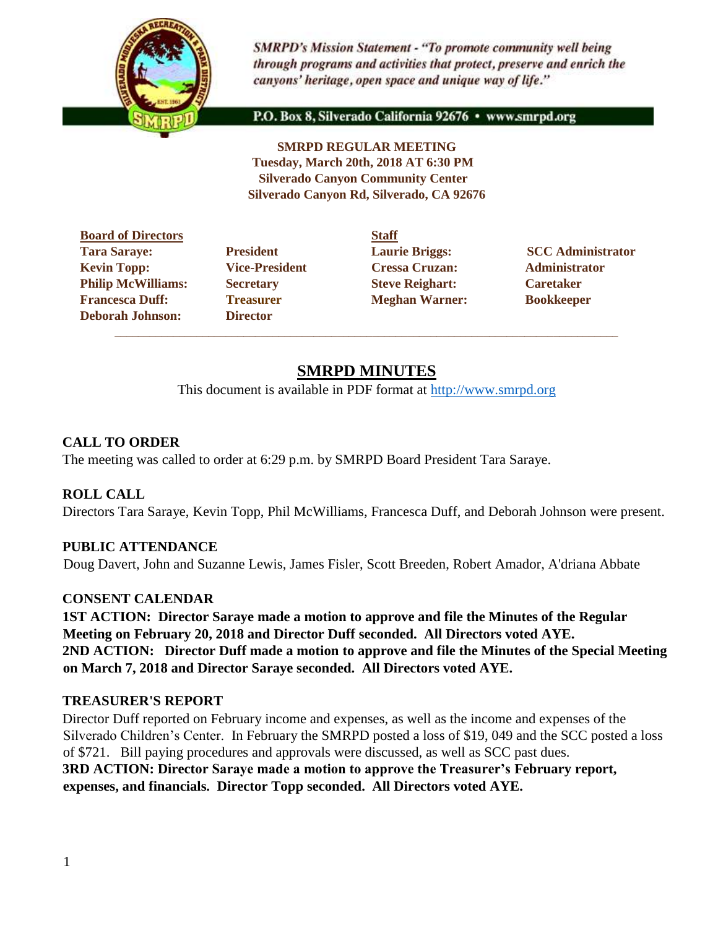

**SMRPD's Mission Statement - "To promote community well being** through programs and activities that protect, preserve and enrich the canyons' heritage, open space and unique way of life."

P.O. Box 8, Silverado California 92676 · www.smrpd.org

**SMRPD REGULAR MEETING Tuesday, March 20th, 2018 AT 6:30 PM Silverado Canyon Community Center Silverado Canyon Rd, Silverado, CA 92676** 

|                       | <b>Staff</b> |
|-----------------------|--------------|
| <b>President</b>      | Laur         |
| <b>Vice-President</b> | <b>Cres</b>  |
| <b>Secretary</b>      | <b>Steve</b> |
| <b>Treasurer</b>      | Megl         |
| <b>Director</b>       |              |
|                       |              |

**Director** \_\_\_\_\_\_\_\_\_\_\_\_\_\_\_\_\_\_\_\_\_\_\_\_\_\_\_\_\_\_\_\_\_\_\_\_\_\_\_\_\_\_\_\_\_\_\_\_\_\_\_\_\_\_\_\_\_\_\_\_\_\_\_\_\_\_\_\_\_\_\_\_\_\_\_\_\_\_\_\_\_\_\_\_\_\_

Vice-President Cressa Cruzan: Administrator **Philip McCaretary Philip Steve Reighart: Caretaker Freasurer Meghan Warner: Bookkeeper** 

**Tara SECC Administrator CALCE ADMINISTRATION CONTRACT ADMINISTRATION CONTRACT ADMINISTRATION CONTRACT ADMINISTRATION CONTRACT ADMINISTRATION CONTRACT ADMINISTRATION CONTRACT ADMINISTRATION CONTRACT ADMINISTRATION CONTRACT** 

# **SMRPD MINUTES**

This document is available in PDF format at [http://www.smrpd.org](http://www.smrpd.org/)

# **CALL TO ORDER**

The meeting was called to order at 6:29 p.m. by SMRPD Board President Tara Saraye.

#### **ROLL CALL**

Directors Tara Saraye, Kevin Topp, Phil McWilliams, Francesca Duff, and Deborah Johnson were present.

#### **PUBLIC ATTENDANCE**

Doug Davert, John and Suzanne Lewis, James Fisler, Scott Breeden, Robert Amador, A'driana Abbate

#### **CONSENT CALENDAR**

**1ST ACTION: Director Saraye made a motion to approve and file the Minutes of the Regular Meeting on February 20, 2018 and Director Duff seconded. All Directors voted AYE. 2ND ACTION: Director Duff made a motion to approve and file the Minutes of the Special Meeting on March 7, 2018 and Director Saraye seconded. All Directors voted AYE.**

#### **TREASURER'S REPORT**

Director Duff reported on February income and expenses, as well as the income and expenses of the Silverado Children's Center. In February the SMRPD posted a loss of \$19, 049 and the SCC posted a loss of \$721. Bill paying procedures and approvals were discussed, as well as SCC past dues. **3RD ACTION: Director Saraye made a motion to approve the Treasurer's February report,** 

**expenses, and financials. Director Topp seconded. All Directors voted AYE.**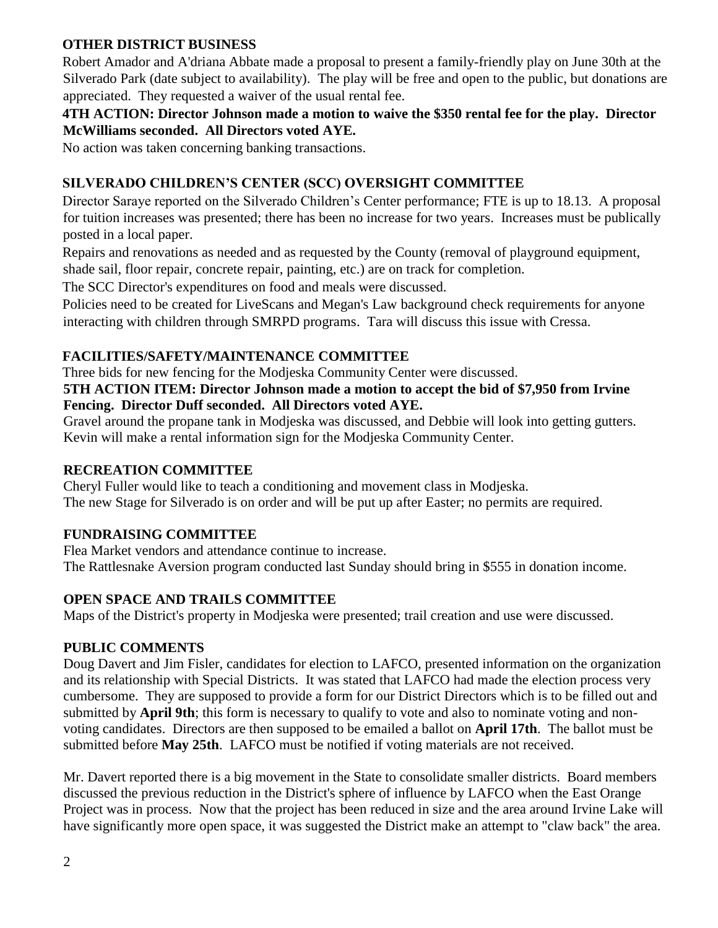## **OTHER DISTRICT BUSINESS**

Robert Amador and A'driana Abbate made a proposal to present a family-friendly play on June 30th at the Silverado Park (date subject to availability). The play will be free and open to the public, but donations are appreciated. They requested a waiver of the usual rental fee.

#### **4TH ACTION: Director Johnson made a motion to waive the \$350 rental fee for the play. Director McWilliams seconded. All Directors voted AYE.**

No action was taken concerning banking transactions.

## **SILVERADO CHILDREN'S CENTER (SCC) OVERSIGHT COMMITTEE**

Director Saraye reported on the Silverado Children's Center performance; FTE is up to 18.13. A proposal for tuition increases was presented; there has been no increase for two years. Increases must be publically posted in a local paper.

Repairs and renovations as needed and as requested by the County (removal of playground equipment, shade sail, floor repair, concrete repair, painting, etc.) are on track for completion.

The SCC Director's expenditures on food and meals were discussed.

Policies need to be created for LiveScans and Megan's Law background check requirements for anyone interacting with children through SMRPD programs. Tara will discuss this issue with Cressa.

#### **FACILITIES/SAFETY/MAINTENANCE COMMITTEE**

Three bids for new fencing for the Modjeska Community Center were discussed.

#### **5TH ACTION ITEM: Director Johnson made a motion to accept the bid of \$7,950 from Irvine Fencing. Director Duff seconded. All Directors voted AYE.**

Gravel around the propane tank in Modjeska was discussed, and Debbie will look into getting gutters. Kevin will make a rental information sign for the Modjeska Community Center.

#### **RECREATION COMMITTEE**

Cheryl Fuller would like to teach a conditioning and movement class in Modjeska. The new Stage for Silverado is on order and will be put up after Easter; no permits are required.

# **FUNDRAISING COMMITTEE**

Flea Market vendors and attendance continue to increase. The Rattlesnake Aversion program conducted last Sunday should bring in \$555 in donation income.

# **OPEN SPACE AND TRAILS COMMITTEE**

Maps of the District's property in Modjeska were presented; trail creation and use were discussed.

#### **PUBLIC COMMENTS**

Doug Davert and Jim Fisler, candidates for election to LAFCO, presented information on the organization and its relationship with Special Districts. It was stated that LAFCO had made the election process very cumbersome. They are supposed to provide a form for our District Directors which is to be filled out and submitted by **April 9th**; this form is necessary to qualify to vote and also to nominate voting and nonvoting candidates. Directors are then supposed to be emailed a ballot on **April 17th**. The ballot must be submitted before **May 25th**. LAFCO must be notified if voting materials are not received.

Mr. Davert reported there is a big movement in the State to consolidate smaller districts. Board members discussed the previous reduction in the District's sphere of influence by LAFCO when the East Orange Project was in process. Now that the project has been reduced in size and the area around Irvine Lake will have significantly more open space, it was suggested the District make an attempt to "claw back" the area.